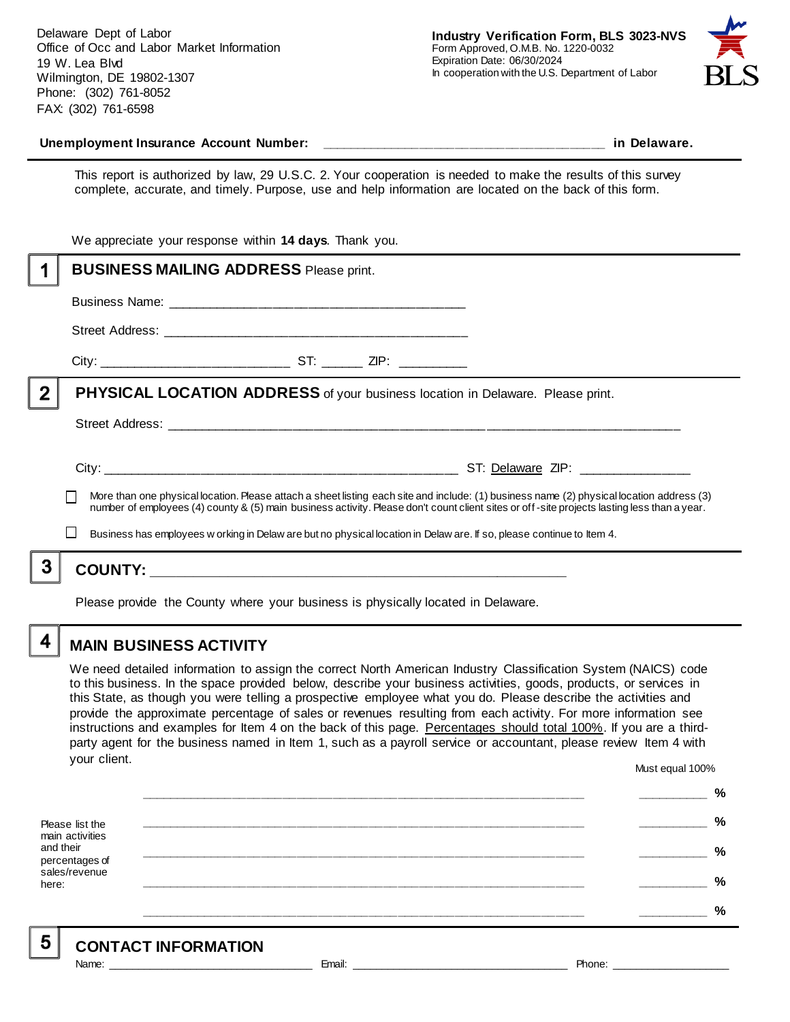Delaware Dept of Labor Office of Occ and Labor Market Information 19 W. Lea Blvd Wilmington, DE 19802-1307 Phone: (302) 761-8052 FAX: (302) 761-6598



#### **Unemployment Insurance Account Number: \_\_\_\_\_\_\_\_\_\_\_\_\_\_\_\_\_\_\_\_\_\_\_\_\_\_\_\_\_\_\_\_\_\_\_\_\_\_\_\_ in Delaware.**

This report is authorized by law, 29 U.S.C. 2. Your cooperation is needed to make the results of this survey complete, accurate, and timely. Purpose, use and help information are located on the back of this form.

|              | We appreciate your response within 14 days. Thank you.                                                                                                                                                                                                                                   |
|--------------|------------------------------------------------------------------------------------------------------------------------------------------------------------------------------------------------------------------------------------------------------------------------------------------|
|              | <b>BUSINESS MAILING ADDRESS Please print.</b>                                                                                                                                                                                                                                            |
|              |                                                                                                                                                                                                                                                                                          |
|              |                                                                                                                                                                                                                                                                                          |
|              |                                                                                                                                                                                                                                                                                          |
| $\mathbf{2}$ | <b>PHYSICAL LOCATION ADDRESS</b> of your business location in Delaware. Please print.                                                                                                                                                                                                    |
|              |                                                                                                                                                                                                                                                                                          |
|              |                                                                                                                                                                                                                                                                                          |
|              | More than one physical location. Please attach a sheet listing each site and include: (1) business name (2) physical location address (3)<br>number of employees (4) county & (5) main business activity. Please don't count client sites or off-site projects lasting less than a year. |
|              | Business has employees w orking in Delaw are but no physical location in Delaw are. If so, please continue to Item 4.                                                                                                                                                                    |
|              |                                                                                                                                                                                                                                                                                          |
|              |                                                                                                                                                                                                                                                                                          |

Please provide the County where your business is physically located in Delaware.

4

5

# **MAIN BUSINESS ACTIVITY**

We need detailed information to assign the correct North American Industry Classification System (NAICS) code to this business. In the space provided below, describe your business activities, goods, products, or services in this State, as though you were telling a prospective employee what you do. Please describe the activities and provide the approximate percentage of sales or revenues resulting from each activity. For more information see instructions and examples for Item 4 on the back of this page. Percentages should total 100%. If you are a thirdparty agent for the business named in Item 1, such as a payroll service or accountant, please review Item 4 with your client. Must equal 100%

Please list the main activities and their percentages of sales/revenue here: **\_\_\_\_\_\_\_\_\_\_\_\_\_\_\_\_\_\_\_\_\_\_\_\_\_\_\_\_\_\_\_\_\_\_\_\_\_\_\_\_\_\_\_\_\_\_\_\_\_\_\_\_\_\_\_\_\_\_\_\_\_\_ \_\_\_\_\_\_\_\_\_\_ % \_\_\_\_\_\_\_\_\_\_\_\_\_\_\_\_\_\_\_\_\_\_\_\_\_\_\_\_\_\_\_\_\_\_\_\_\_\_\_\_\_\_\_\_\_\_\_\_\_\_\_\_\_\_\_\_\_\_\_\_\_\_ \_\_\_\_\_\_\_\_\_\_ % \_\_\_\_\_\_\_\_\_\_\_\_\_\_\_\_\_\_\_\_\_\_\_\_\_\_\_\_\_\_\_\_\_\_\_\_\_\_\_\_\_\_\_\_\_\_\_\_\_\_\_\_\_\_\_\_\_\_\_\_\_\_ \_\_\_\_\_\_\_\_\_\_ % \_\_\_\_\_\_\_\_\_\_\_\_\_\_\_\_\_\_\_\_\_\_\_\_\_\_\_\_\_\_\_\_\_\_\_\_\_\_\_\_\_\_\_\_\_\_\_\_\_\_\_\_\_\_\_\_\_\_\_\_\_\_ \_\_\_\_\_\_\_\_\_\_ % \_\_\_\_\_\_\_\_\_\_\_\_\_\_\_\_\_\_\_\_\_\_\_\_\_\_\_\_\_\_\_\_\_\_\_\_\_\_\_\_\_\_\_\_\_\_\_\_\_\_\_\_\_\_\_\_\_\_\_\_\_\_ \_\_\_\_\_\_\_\_\_\_ %**